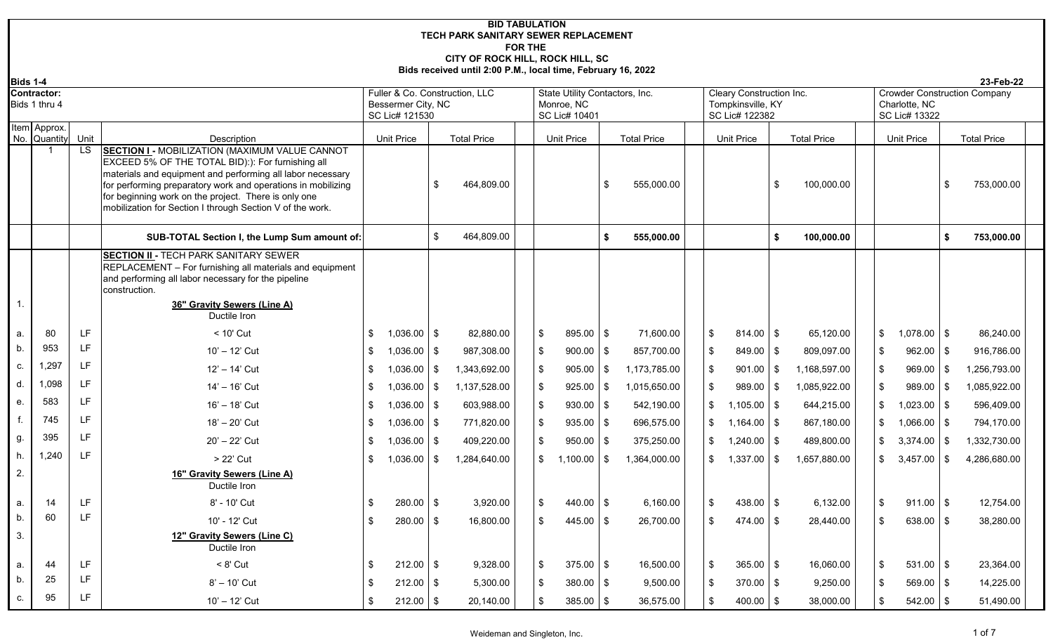## **BID TABULATION FOR THE CITY OF ROCK HILL, ROCK HILL, SC Bids received until 2:00 P.M., local time, February 16, 2022 TECH PARK SANITARY SEWER REPLACEMENT**

| <b>Bids 1-4</b> |                                     |            |                                                                                                                                                                                                                                                                                                                                                                              |                                      |               |                                  |                         |                                                               |           |                                  |                                                                        |            |                                  |      |                                |                | 23-Feb-22                           |
|-----------------|-------------------------------------|------------|------------------------------------------------------------------------------------------------------------------------------------------------------------------------------------------------------------------------------------------------------------------------------------------------------------------------------------------------------------------------------|--------------------------------------|---------------|----------------------------------|-------------------------|---------------------------------------------------------------|-----------|----------------------------------|------------------------------------------------------------------------|------------|----------------------------------|------|--------------------------------|----------------|-------------------------------------|
|                 | <b>Contractor:</b><br>Bids 1 thru 4 |            |                                                                                                                                                                                                                                                                                                                                                                              | Bessermer City, NC<br>SC Lic# 121530 |               | Fuller & Co. Construction, LLC   |                         | State Utility Contactors, Inc.<br>Monroe, NC<br>SC Lic# 10401 |           |                                  | <b>Cleary Construction Inc.</b><br>Tompkinsville, KY<br>SC Lic# 122382 |            |                                  |      | Charlotte, NC<br>SC Lic# 13322 |                | <b>Crowder Construction Company</b> |
|                 | Item Approx.                        |            |                                                                                                                                                                                                                                                                                                                                                                              |                                      |               |                                  |                         |                                                               |           |                                  |                                                                        |            |                                  |      |                                |                |                                     |
|                 | No. Quantity                        | Unit<br>LS | Description<br><b>SECTION I - MOBILIZATION (MAXIMUM VALUE CANNOT</b><br>EXCEED 5% OF THE TOTAL BID):): For furnishing all<br>materials and equipment and performing all labor necessary<br>for performing preparatory work and operations in mobilizing<br>for beginning work on the project. There is only one<br>mobilization for Section I through Section V of the work. | <b>Unit Price</b>                    | \$            | <b>Total Price</b><br>464,809.00 |                         | <b>Unit Price</b>                                             | -\$       | <b>Total Price</b><br>555,000.00 | <b>Unit Price</b>                                                      | \$         | <b>Total Price</b><br>100,000.00 |      | <b>Unit Price</b>              | $\mathfrak{L}$ | <b>Total Price</b><br>753,000.00    |
|                 |                                     |            | SUB-TOTAL Section I, the Lump Sum amount of:                                                                                                                                                                                                                                                                                                                                 |                                      | \$            | 464,809.00                       |                         |                                                               | Ŝ.        | 555.000.00                       |                                                                        | \$         | 100,000.00                       |      |                                | \$             | 753,000.00                          |
|                 |                                     |            | <b>SECTION II - TECH PARK SANITARY SEWER</b><br>REPLACEMENT - For furnishing all materials and equipment<br>and performing all labor necessary for the pipeline<br>construction.<br>36" Gravity Sewers (Line A)                                                                                                                                                              |                                      |               |                                  |                         |                                                               |           |                                  |                                                                        |            |                                  |      |                                |                |                                     |
|                 |                                     |            | Ductile Iron                                                                                                                                                                                                                                                                                                                                                                 |                                      |               |                                  |                         |                                                               |           |                                  |                                                                        |            |                                  |      |                                |                |                                     |
| a.              | 80                                  | LF         | < 10' Cut                                                                                                                                                                                                                                                                                                                                                                    | \$<br>$1,036.00$ \$                  |               | 82,880.00                        | \$                      | 895.00 \$                                                     |           | 71,600.00                        | $\sqrt[6]{2}$<br>$814.00$ \$                                           |            | 65,120.00                        |      | $1,078.00$ \$                  |                | 86,240.00                           |
| b.              | 953                                 | LF         | $10' - 12'$ Cut                                                                                                                                                                                                                                                                                                                                                              | \$<br>1,036.00                       | l \$          | 987,308.00                       | $\sqrt[6]{\frac{1}{2}}$ | 900.00                                                        | <b>S</b>  | 857,700.00                       | $\sqrt[6]{2}$<br>849.00                                                | $\sqrt{3}$ | 809,097.00                       | \$   | 962.00                         | \$             | 916,786.00                          |
| C.              | 1,297                               | LF         | 12' - 14' Cut                                                                                                                                                                                                                                                                                                                                                                | \$<br>1,036.00                       | l \$          | 1,343,692.00                     | \$                      | 905.00                                                        | <b>\$</b> | 1,173,785.00                     | \$<br>901.00                                                           | $\sqrt{3}$ | 1,168,597.00                     |      | 969.00                         | -\$            | 1,256,793.00                        |
| d.              | 1,098                               | LF         | 14' - 16' Cut                                                                                                                                                                                                                                                                                                                                                                | \$<br>1,036.00                       | l \$          | 1,137,528.00                     | \$                      | 925.00                                                        | l \$      | 1,015,650.00                     | $\mathfrak{F}$<br>989.00                                               | l \$       | 1,085,922.00                     | \$   | 989.00                         | -\$            | 1,085,922.00                        |
| e.              | 583                                 | LF         | 16' - 18' Cut                                                                                                                                                                                                                                                                                                                                                                | \$<br>$1,036.00$ \$                  |               | 603,988.00                       | \$                      | 930.00                                                        | l \$      | 542,190.00                       | \$<br>1,105.00                                                         | $\sqrt{ }$ | 644,215.00                       |      | 1,023.00                       | \$             | 596,409.00                          |
|                 | 745                                 | LF         | 18' - 20' Cut                                                                                                                                                                                                                                                                                                                                                                | \$<br>1,036.00                       | $\frac{1}{3}$ | 771,820.00                       | \$                      | 935.00                                                        | l \$      | 696,575.00                       | \$<br>$1,164.00$ \$                                                    |            | 867,180.00                       | \$   | 1,066.00                       | - \$           | 794,170.00                          |
| g.              | 395                                 | LF         | 20' - 22' Cut                                                                                                                                                                                                                                                                                                                                                                | \$<br>1,036.00                       | l \$          | 409,220.00                       | \$                      | 950.00                                                        | l \$      | 375,250.00                       | \$<br>$1,240.00$ \$                                                    |            | 489,800.00                       |      | 3,374.00                       | \$             | 1,332,730.00                        |
|                 | 1,240                               | LF         | > 22' Cut                                                                                                                                                                                                                                                                                                                                                                    | \$<br>1,036.00                       | \$            | 1,284,640.00                     | \$                      | 1,100.00                                                      | - \$      | 1,364,000.00                     | $\mathfrak{S}$<br>1,337.00                                             | $\sqrt{3}$ | 1,657,880.00                     |      | 3,457.00                       | -\$            | 4,286,680.00                        |
| 2.              |                                     |            | 16" Gravity Sewers (Line A)<br>Ductile Iron                                                                                                                                                                                                                                                                                                                                  |                                      |               |                                  |                         |                                                               |           |                                  |                                                                        |            |                                  |      |                                |                |                                     |
| a.              | 14                                  | LF         | 8' - 10' Cut                                                                                                                                                                                                                                                                                                                                                                 | \$<br>$280.00$   \$                  |               | 3,920.00                         | \$                      | $440.00$ \ \$                                                 |           | 6,160.00                         | $\mathfrak{F}$<br>$438.00$ \$                                          |            | 6,132.00                         | - \$ | $911.00$ \$                    |                | 12,754.00                           |
| b.              | 60                                  | 1F         | 10' - 12' Cut                                                                                                                                                                                                                                                                                                                                                                | \$<br>$280.00$ \$                    |               | 16,800.00                        | \$                      | $445.00$ \ \$                                                 |           | 26.700.00                        | $\mathfrak s$<br>474.00                                                | $\sqrt{3}$ | 28.440.00                        |      | 638.00                         | -\$            | 38,280.00                           |
| 3.              |                                     |            | 12" Gravity Sewers (Line C)<br>Ductile Iron                                                                                                                                                                                                                                                                                                                                  |                                      |               |                                  |                         |                                                               |           |                                  |                                                                        |            |                                  |      |                                |                |                                     |
| a.              | 44                                  | LF         | $< 8'$ Cut                                                                                                                                                                                                                                                                                                                                                                   | \$<br>$212.00$ \ \$                  |               | 9,328.00                         | \$                      | $375.00$ \$                                                   |           | 16,500.00                        | $\sqrt[6]{2}$<br>365.00                                                | $\sqrt{3}$ | 16,060.00                        | -\$  | $531.00$ \$                    |                | 23,364.00                           |
| b.              | 25                                  | LF         | $8' - 10'$ Cut                                                                                                                                                                                                                                                                                                                                                               | \$<br>$212.00$   \$                  |               | 5,300.00                         | \$                      | $380.00$ \$                                                   |           | 9,500.00                         | $\sqrt[6]{2}$<br>$370.00$ \$                                           |            | 9,250.00                         |      | $569.00$ \$                    |                | 14,225.00                           |
| C.              | 95                                  | I F        | 10' - 12' Cut                                                                                                                                                                                                                                                                                                                                                                | \$<br>$212.00$ \ \$                  |               | 20,140.00                        | \$                      | $385.00$ \$                                                   |           | 36,575.00                        | $\sqrt[6]{2}$<br>400.00                                                | l \$       | 38,000.00                        |      | 542.00                         | \$             | 51,490.00                           |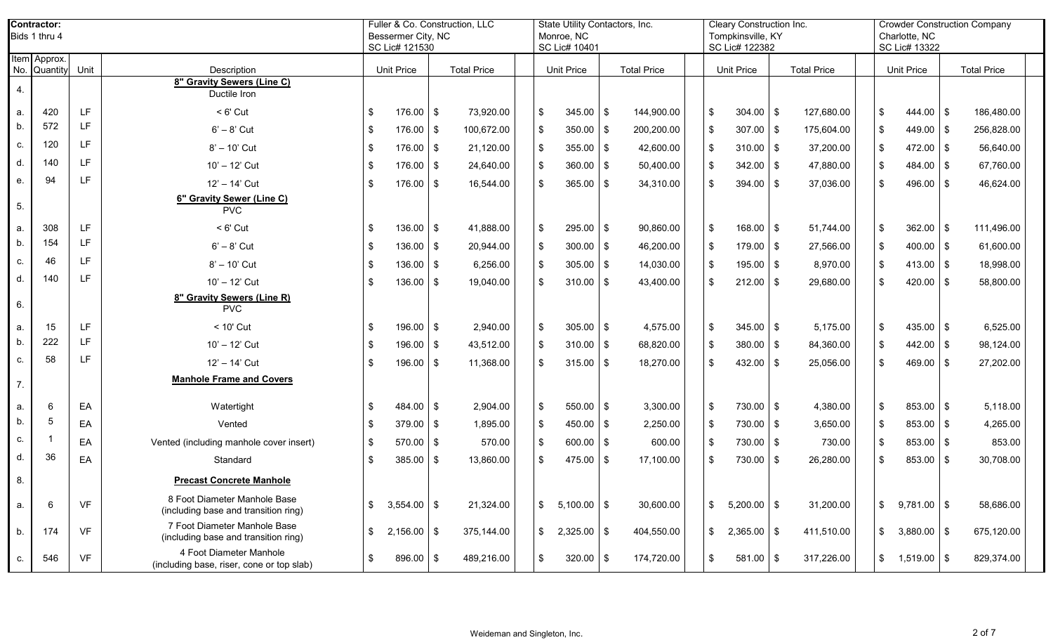|     | <b>Contractor:</b><br>Bids 1 thru 4 |           |                                                                      |               | Bessermer City, NC<br>SC Lic# 121530 | Fuller & Co. Construction, LLC |               | State Utility Contactors, Inc.<br>Monroe, NC<br>SC Lic# 10401 |            |                    |               | <b>Cleary Construction Inc.</b><br>Tompkinsville, KY<br>SC Lic# 122382 |     |                    |    | Charlotte, NC<br>SC Lic# 13322 |      | <b>Crowder Construction Company</b> |  |
|-----|-------------------------------------|-----------|----------------------------------------------------------------------|---------------|--------------------------------------|--------------------------------|---------------|---------------------------------------------------------------|------------|--------------------|---------------|------------------------------------------------------------------------|-----|--------------------|----|--------------------------------|------|-------------------------------------|--|
| No. | Item Approx.<br>Quantity            | Unit      | Description                                                          |               | <b>Unit Price</b>                    | <b>Total Price</b>             |               | <b>Unit Price</b>                                             |            | <b>Total Price</b> |               | <b>Unit Price</b>                                                      |     | <b>Total Price</b> |    | <b>Unit Price</b>              |      | <b>Total Price</b>                  |  |
| 4.  |                                     |           | 8" Gravity Sewers (Line C)<br>Ductile Iron                           |               |                                      |                                |               |                                                               |            |                    |               |                                                                        |     |                    |    |                                |      |                                     |  |
| a.  | 420                                 | LF.       | $< 6'$ Cut                                                           | \$            | 176.00                               | $\sqrt{3}$<br>73,920.00        | \$            | 345.00                                                        | $\sqrt{3}$ | 144,900.00         | \$            | 304.00                                                                 | \$  | 127,680.00         | \$ | $444.00$ \\$                   |      | 186,480.00                          |  |
| b.  | 572                                 | LF.       | $6' - 8'$ Cut                                                        | $\sqrt[6]{3}$ | 176.00                               | 100,672.00<br>\$               | $\sqrt{3}$    | $350.00$ \$                                                   |            | 200,200.00         | \$            | $307.00$ \$                                                            |     | 175,604.00         | \$ | 449.00                         | l \$ | 256,828.00                          |  |
| C.  | 120                                 | LF.       | 8' - 10' Cut                                                         | \$            | 176.00                               | \$<br>21,120.00                | $\sqrt{3}$    | $355.00$ \\$                                                  |            | 42,600.00          | \$            | $310.00$ \$                                                            |     | 37,200.00          | \$ | $472.00$ \\$                   |      | 56,640.00                           |  |
| d.  | 140                                 | LF.       | 10' - 12' Cut                                                        | \$            | 176.00                               | \$<br>24,640.00                | $\sqrt{3}$    | $360.00$ \ \$                                                 |            | 50,400.00          | \$            | 342.00                                                                 | \$  | 47,880.00          | \$ | $484.00$ \\$                   |      | 67,760.00                           |  |
| е.  | 94                                  | LF        | 12' - 14' Cut                                                        | \$            | 176.00                               | \$<br>16,544.00                | $\sqrt[6]{3}$ | 365.00                                                        | l \$       | 34,310.00          | \$            | 394.00                                                                 | \$  | 37,036.00          | \$ | 496.00                         | l \$ | 46,624.00                           |  |
| 5.  |                                     |           | 6" Gravity Sewer (Line C)<br><b>PVC</b>                              |               |                                      |                                |               |                                                               |            |                    |               |                                                                        |     |                    |    |                                |      |                                     |  |
| a.  | 308                                 | LF.       | $< 6'$ Cut                                                           | \$            | $136.00$ \$                          | 41,888.00                      | $\sqrt{3}$    | $295.00$ \$                                                   |            | 90,860.00          | \$            | $168.00$ \$                                                            |     | 51,744.00          | \$ | $362.00$ \$                    |      | 111,496.00                          |  |
| b.  | 154                                 | <b>LF</b> | $6' - 8'$ Cut                                                        | $\sqrt[6]{3}$ | 136.00                               | \$<br>20,944.00                | $\sqrt{3}$    | 300.00                                                        | $\sqrt{3}$ | 46,200.00          | \$            | 179.00                                                                 | \$  | 27,566.00          | \$ | $400.00$ \$                    |      | 61,600.00                           |  |
| C.  | 46                                  | LF.       | 8' - 10' Cut                                                         | \$            | 136.00                               | \$<br>6,256.00                 | $\sqrt{3}$    | $305.00$ \$                                                   |            | 14,030.00          | \$            | $195.00$ \$                                                            |     | 8,970.00           | \$ | $413.00$ \\$                   |      | 18,998.00                           |  |
| d.  | 140                                 | LF.       | 10' - 12' Cut                                                        | \$            | 136.00                               | \$<br>19,040.00                | \$            | 310.00                                                        | l \$       | 43,400.00          | \$            | 212.00                                                                 | -\$ | 29,680.00          | \$ | $420.00$ \ \$                  |      | 58,800.00                           |  |
| 6.  |                                     |           | 8" Gravity Sewers (Line R)<br><b>PVC</b>                             |               |                                      |                                |               |                                                               |            |                    |               |                                                                        |     |                    |    |                                |      |                                     |  |
| a.  | 15                                  | LF.       | $< 10'$ Cut                                                          | \$            | $196.00$ \$                          | 2,940.00                       | $\sqrt{3}$    | $305.00$ \$                                                   |            | 4,575.00           | \$            | $345.00$ \ \$                                                          |     | 5,175.00           | \$ | 435.00 $\frac{1}{9}$           |      | 6,525.00                            |  |
| b.  | 222                                 | <b>IF</b> | 10' - 12' Cut                                                        | $\sqrt[6]{3}$ | 196.00                               | \$<br>43,512.00                | $\sqrt{3}$    | $310.00$ \$                                                   |            | 68,820.00          | \$            | $380.00$ \$                                                            |     | 84,360.00          | \$ | $442.00$ \ \$                  |      | 98,124.00                           |  |
| C.  | 58                                  | LF.       | 12' - 14' Cut                                                        | \$            | 196.00                               | 11,368.00<br>\$                | -\$           | $315.00$ \$                                                   |            | 18,270.00          | \$            | 432.00                                                                 | -\$ | 25,056.00          | \$ | $469.00$ \$                    |      | 27,202.00                           |  |
| 7.  |                                     |           | <b>Manhole Frame and Covers</b>                                      |               |                                      |                                |               |                                                               |            |                    |               |                                                                        |     |                    |    |                                |      |                                     |  |
| a.  | 6                                   | EA        | Watertight                                                           | \$            | 484.00                               | \$<br>2,904.00                 | <b>\$</b>     | $550.00$ \$                                                   |            | 3,300.00           | \$            | 730.00 \$                                                              |     | 4,380.00           | \$ | $853.00$ \$                    |      | 5,118.00                            |  |
| b.  |                                     | EA        | Vented                                                               | \$            | 379.00                               | \$<br>1,895.00                 | <b>\$</b>     | $450.00$ \$                                                   |            | 2,250.00           | \$            | 730.00 \$                                                              |     | 3,650.00           | \$ | $853.00$ \$                    |      | 4,265.00                            |  |
| C.  |                                     | EA        | Vented (including manhole cover insert)                              | $\sqrt[6]{3}$ | 570.00                               | \$<br>570.00                   | $\sqrt{3}$    | $600.00$ \$                                                   |            | 600.00             | \$            | 730.00 \$                                                              |     | 730.00             | \$ | $853.00$ \$                    |      | 853.00                              |  |
| d.  | 36                                  | EA        | Standard                                                             | \$            | 385.00                               | \$<br>13,860.00                | \$            | $475.00$ \\$                                                  |            | 17,100.00          | \$            | 730.00                                                                 | \$  | 26,280.00          | \$ | $853.00$ \$                    |      | 30,708.00                           |  |
| 8.  |                                     |           | <b>Precast Concrete Manhole</b>                                      |               |                                      |                                |               |                                                               |            |                    |               |                                                                        |     |                    |    |                                |      |                                     |  |
| a.  | 6                                   | <b>VF</b> | 8 Foot Diameter Manhole Base<br>(including base and transition ring) | $\sqrt[6]{2}$ | $3,554.00$ \$                        | 21,324.00                      | \$            | $5,100.00$ \$                                                 |            | 30,600.00          | $\mathcal{S}$ | $5,200.00$ \$                                                          |     | 31,200.00          | \$ | $9,781.00$ \$                  |      | 58,686.00                           |  |
| b.  | 174                                 | VF        | 7 Foot Diameter Manhole Base<br>(including base and transition ring) | \$            | $2,156.00$ \$                        | 375,144.00                     | $\sqrt[6]{2}$ | $2,325.00$ \$                                                 |            | 404,550.00         | \$            | $2,365.00$ \$                                                          |     | 411,510.00         | \$ | $3,880.00$ \$                  |      | 675,120.00                          |  |
| C.  | 546                                 | VF        | 4 Foot Diameter Manhole<br>(including base, riser, cone or top slab) | $\sqrt[6]{3}$ | $896.00$ \$                          | 489,216.00                     | \$            | $320.00$ \$                                                   |            | 174,720.00         | $\mathbb{S}$  | $581.00$ \$                                                            |     | 317,226.00         | \$ | $1,519.00$ \$                  |      | 829,374.00                          |  |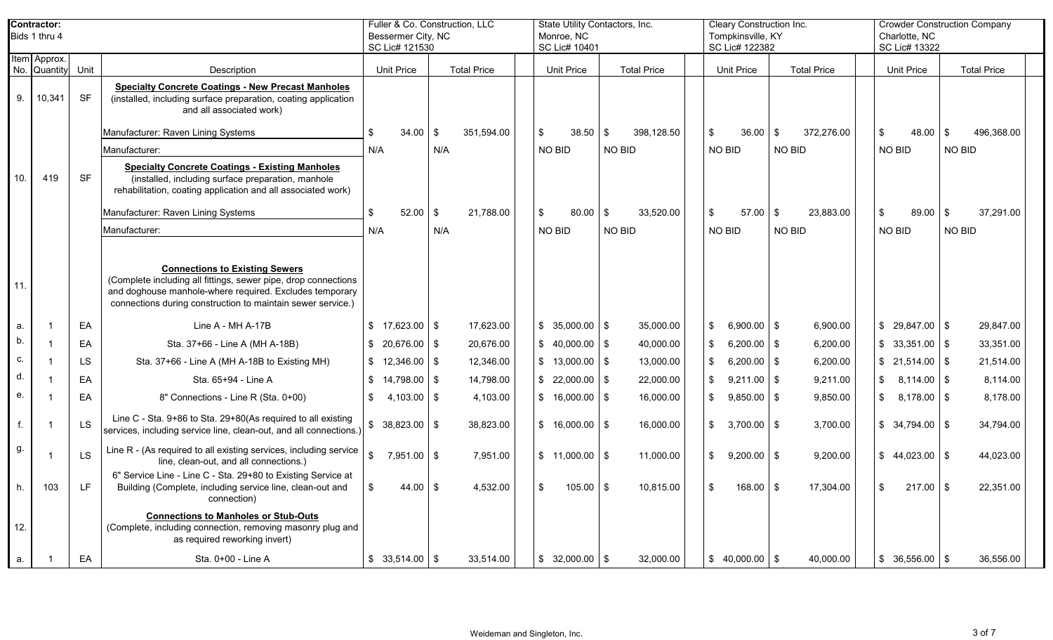|     | <b>Contractor:</b><br>Bids 1 thru 4 |           |                                                                                                                                                                                                                                   | Fuller & Co. Construction, LLC<br>Bessermer City, NC<br>SC Lic# 121530 |      |                    | State Utility Contactors, Inc.<br>Monroe, NC<br>SC Lic# 10401 |                |                    | <b>Cleary Construction Inc.</b><br>Tompkinsville, KY<br>SC Lic# 122382 |                    | Charlotte, NC<br>SC Lic# 13322  | <b>Crowder Construction Company</b> |  |
|-----|-------------------------------------|-----------|-----------------------------------------------------------------------------------------------------------------------------------------------------------------------------------------------------------------------------------|------------------------------------------------------------------------|------|--------------------|---------------------------------------------------------------|----------------|--------------------|------------------------------------------------------------------------|--------------------|---------------------------------|-------------------------------------|--|
|     | Item Approx.<br>No. Quantity        | Unit      | Description                                                                                                                                                                                                                       | Unit Price                                                             |      | <b>Total Price</b> | <b>Unit Price</b>                                             |                | <b>Total Price</b> | <b>Unit Price</b>                                                      | <b>Total Price</b> | <b>Unit Price</b>               | <b>Total Price</b>                  |  |
| 9.  | 10,341                              | <b>SF</b> | <b>Specialty Concrete Coatings - New Precast Manholes</b><br>(installed, including surface preparation, coating application<br>and all associated work)                                                                           |                                                                        |      |                    |                                                               |                |                    |                                                                        |                    |                                 |                                     |  |
|     |                                     |           | Manufacturer: Raven Lining Systems                                                                                                                                                                                                | 34.00<br>\$                                                            | -\$  | 351,594.00         | \$<br>38.50                                                   | $\overline{1}$ | 398,128.50         | 36.00<br>\$                                                            | 372,276.00<br>\$   | \$<br>$48.00$ \ \$              | 496,368.00                          |  |
|     |                                     |           | Manufacturer:                                                                                                                                                                                                                     | N/A                                                                    | N/A  |                    | NO BID                                                        | NO BID         |                    | NO BID                                                                 | NO BID             | <b>NO BID</b>                   | NO BID                              |  |
| 10. | 419                                 | <b>SF</b> | <b>Specialty Concrete Coatings - Existing Manholes</b><br>(installed, including surface preparation, manhole<br>rehabilitation, coating application and all associated work)                                                      |                                                                        |      |                    |                                                               |                |                    |                                                                        |                    |                                 |                                     |  |
|     |                                     |           | Manufacturer: Raven Lining Systems                                                                                                                                                                                                | \$<br>52.00                                                            | - \$ | 21,788.00          | $80.00$ \$<br>\$                                              |                | 33,520.00          | $57.00$ \ \$<br>\$                                                     | 23,883.00          | $\sqrt[6]{2}$<br>$89.00$ \$     | 37,291.00                           |  |
|     |                                     |           | Manufacturer:                                                                                                                                                                                                                     | N/A                                                                    | N/A  |                    | NO BID                                                        | NO BID         |                    | NO BID                                                                 | NO BID             | <b>NO BID</b>                   | NO BID                              |  |
| 11. |                                     |           | <b>Connections to Existing Sewers</b><br>(Complete including all fittings, sewer pipe, drop connections<br>and doghouse manhole-where required. Excludes temporary<br>connections during construction to maintain sewer service.) |                                                                        |      |                    |                                                               |                |                    |                                                                        |                    |                                 |                                     |  |
| a.  |                                     | EA        | Line A - MH A-17B                                                                                                                                                                                                                 | $$17,623.00$ \ \ \$                                                    |      | 17,623.00          | $$35,000.00$ \ \$                                             |                | 35,000.00          | $6,900.00$ \$                                                          | 6,900.00           | $$29,847.00$ \\$                | 29,847.00                           |  |
| b.  |                                     | EA        | Sta. 37+66 - Line A (MH A-18B)                                                                                                                                                                                                    | $$20,676.00$ \ \$                                                      |      | 20,676.00          | $$40,000.00$ \$                                               |                | 40,000.00          | $6,200.00$ \$                                                          | 6,200.00           | $$33,351.00$ \\$                | 33,351.00                           |  |
| C.  |                                     | <b>LS</b> | Sta. 37+66 - Line A (MH A-18B to Existing MH)                                                                                                                                                                                     | $$12,346.00$ \ \ \$                                                    |      | 12,346.00          | $$13,000.00$ \\$                                              |                | 13,000.00          | $6,200.00$ \$                                                          | 6,200.00           | $$21,514.00$ \\$                | 21,514.00                           |  |
| d.  |                                     | EA        | Sta. 65+94 - Line A                                                                                                                                                                                                               | $$14,798.00$ \ \$                                                      |      | 14,798.00          | $$22,000.00$ \ \$                                             |                | 22,000.00          | $9,211.00$ \$                                                          | 9,211.00           | $\mathfrak{S}$<br>$8,114.00$ \$ | 8,114.00                            |  |
| е.  |                                     | EA        | 8" Connections - Line R (Sta. 0+00)                                                                                                                                                                                               | \$<br>$4,103.00$ \ \$                                                  |      | 4,103.00           | $$16,000.00$ \\$                                              |                | 16,000.00          | $9,850.00$ \$                                                          | 9,850.00           | $\mathbb{S}$<br>$8,178.00$ \$   | 8,178.00                            |  |
| f.  |                                     | LS        | Line C - Sta. 9+86 to Sta. 29+80(As required to all existing<br>services, including service line, clean-out, and all connections.)                                                                                                | $$38,823.00$ \\$                                                       |      | 38,823.00          | $$16,000.00$ \ \$                                             |                | 16,000.00          | $3,700.00$ \$                                                          | 3,700.00           | $$34,794.00$ \\$                | 34,794.00                           |  |
| g.  |                                     | <b>LS</b> | Line R - (As required to all existing services, including service<br>line, clean-out, and all connections.)                                                                                                                       | $\mathfrak s$<br>7,951.00 \$                                           |      | 7,951.00           | $$11,000.00$ \\$                                              |                | 11,000.00          | $9,200.00$ \$<br>\$.                                                   | 9,200.00           | $$44,023.00$ \ \$               | 44,023.00                           |  |
|     | 103                                 |           | 6" Service Line - Line C - Sta. 29+80 to Existing Service at<br>Building (Complete, including service line, clean-out and<br>connection)                                                                                          | 44.00 $\frac{1}{3}$                                                    |      | 4,532.00           | $105.00$ \$                                                   |                | 10,815.00          | $168.00$ \$                                                            | 17,304.00          | $217.00$ \$                     | 22,351.00                           |  |
| 12. |                                     |           | <b>Connections to Manholes or Stub-Outs</b><br>(Complete, including connection, removing masonry plug and<br>as required reworking invert)                                                                                        |                                                                        |      |                    |                                                               |                |                    |                                                                        |                    |                                 |                                     |  |
| a.  |                                     | EA        | Sta. 0+00 - Line A                                                                                                                                                                                                                | $$33,514.00$ \\$                                                       |      | 33,514.00          | $$32,000.00$ \ \$                                             |                | 32,000.00          | $$40,000.00$ \\$                                                       | 40,000.00          | $$36,556.00$ \ \$               | 36,556.00                           |  |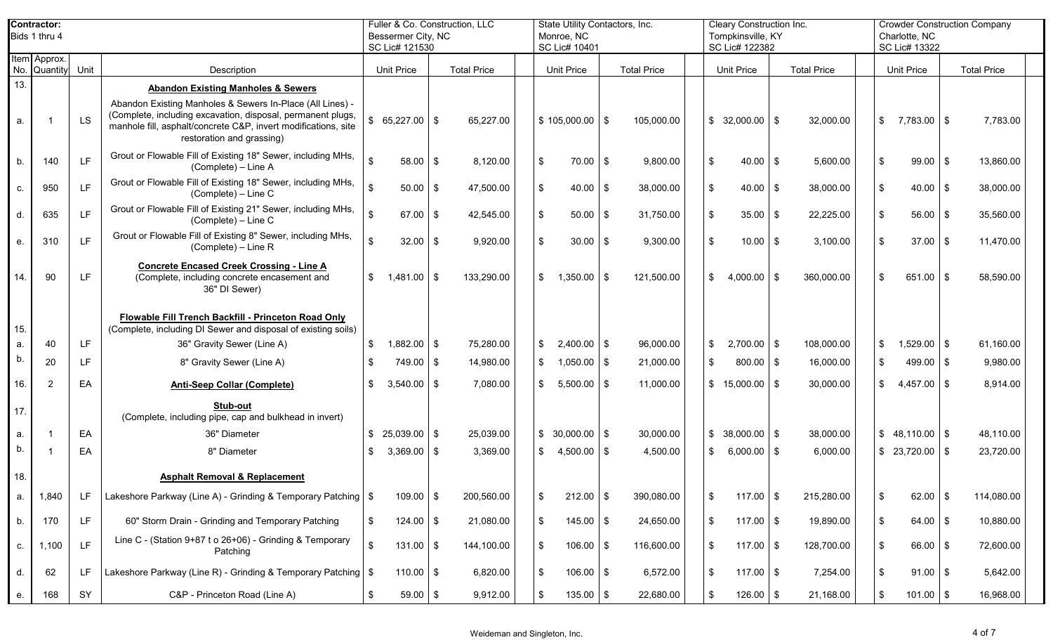|     | <b>Contractor:</b>           |           |                                                                                                                                                                                                                         |                                  | Fuller & Co. Construction, LLC | State Utility Contactors, Inc. |                    | Cleary Construction Inc. |     |                    | <b>Crowder Construction Company</b> |                    |  |
|-----|------------------------------|-----------|-------------------------------------------------------------------------------------------------------------------------------------------------------------------------------------------------------------------------|----------------------------------|--------------------------------|--------------------------------|--------------------|--------------------------|-----|--------------------|-------------------------------------|--------------------|--|
|     | Bids 1 thru 4                |           |                                                                                                                                                                                                                         | Bessermer City, NC               |                                | Monroe, NC                     |                    | Tompkinsville, KY        |     |                    | Charlotte, NC                       |                    |  |
|     |                              |           |                                                                                                                                                                                                                         | SC Lic# 121530                   |                                | SC Lic# 10401                  |                    | SC Lic# 122382           |     |                    | SC Lic# 13322                       |                    |  |
|     | Item Approx.<br>No. Quantity | Unit      | Description                                                                                                                                                                                                             | <b>Unit Price</b>                | <b>Total Price</b>             | <b>Unit Price</b>              | <b>Total Price</b> | Unit Price               |     | <b>Total Price</b> | <b>Unit Price</b>                   | <b>Total Price</b> |  |
| 13. |                              |           | <b>Abandon Existing Manholes &amp; Sewers</b>                                                                                                                                                                           |                                  |                                |                                |                    |                          |     |                    |                                     |                    |  |
| a.  |                              | <b>LS</b> | Abandon Existing Manholes & Sewers In-Place (All Lines) -<br>(Complete, including excavation, disposal, permanent plugs,<br>manhole fill, asphalt/concrete C&P, invert modifications, site<br>restoration and grassing) | 65,227.00 \$                     | 65,227.00                      | $$105,000.00$ \ \$             | 105,000.00         | $$32,000.00$ \\$         |     | 32,000.00          | $\sqrt[6]{2}$<br>$7,783.00$ \$      | 7,783.00           |  |
| b.  | 140                          | LF.       | Grout or Flowable Fill of Existing 18" Sewer, including MHs,<br>(Complete) - Line A                                                                                                                                     | $\mathbf{\hat{S}}$<br>$58.00$ \$ | 8,120.00                       | -\$<br>$70.00$ \$              | 9,800.00           | $40.00$ \$<br>\$         |     | 5,600.00           | \$<br>$99.00$ \$                    | 13,860.00          |  |
| c.  | 950                          | LF        | Grout or Flowable Fill of Existing 18" Sewer, including MHs,<br>(Complete) - Line C                                                                                                                                     | \$<br>$50.00$ \$                 | 47,500.00                      | \$<br>$40.00$ \$               | 38,000.00          | $40.00$ \$               |     | 38,000.00          | \$<br>$40.00$ \$                    | 38,000.00          |  |
| d.  | 635                          | <b>LF</b> | Grout or Flowable Fill of Existing 21" Sewer, including MHs,<br>(Complete) - Line C                                                                                                                                     | $67.00$ \$                       | 42,545.00                      | \$<br>$50.00$ \ \$             | 31,750.00          | 35.00                    | -\$ | 22,225.00          | \$<br>$56.00$ \ \ \$                | 35,560.00          |  |
| е.  | 310                          | LF.       | Grout or Flowable Fill of Existing 8" Sewer, including MHs,<br>(Complete) - Line R                                                                                                                                      | $32.00$ \ \$                     | 9,920.00                       | \$<br>$30.00$ \$               | 9,300.00           | $10.00$ \$               |     | 3,100.00           | \$<br>$37.00$ \ \$                  | 11,470.00          |  |
| 14. | 90                           | LF.       | <b>Concrete Encased Creek Crossing - Line A</b><br>(Complete, including concrete encasement and<br>36" DI Sewer)                                                                                                        | -\$<br>$1,481.00$ \ \$           | 133,290.00                     | $\sqrt[6]{2}$<br>$1,350.00$ \$ | 121,500.00         | 4,000.00<br>\$           | \$  | 360,000.00         | \$<br>$651.00$ \$                   | 58,590.00          |  |
| 15. |                              |           | Flowable Fill Trench Backfill - Princeton Road Only<br>(Complete, including DI Sewer and disposal of existing soils)                                                                                                    |                                  |                                |                                |                    |                          |     |                    |                                     |                    |  |
| a.  | 40                           | LF.       | 36" Gravity Sewer (Line A)                                                                                                                                                                                              | $1,882.00$ \$<br>\$              | 75,280.00                      | $2,400.00$ \$<br>\$            | 96,000.00          | $2,700.00$ \$            |     | 108,000.00         | $1,529.00$ \$<br>\$                 | 61,160.00          |  |
| b.  | 20                           | LF.       | 8" Gravity Sewer (Line A)                                                                                                                                                                                               | 749.00 \$                        | 14,980.00                      | $1,050.00$ \$<br>\$            | 21,000.00          | $800.00$ \$<br>\$        |     | 16,000.00          | \$<br>$499.00$ \$                   | 9,980.00           |  |
| 16. | 2                            | EA        | <b>Anti-Seep Collar (Complete)</b>                                                                                                                                                                                      | $3,540.00$ \$<br>\$              | 7,080.00                       | $5,500.00$ \$<br>\$            | 11,000.00          | $$15,000.00$ \ \$        |     | 30,000.00          | \$<br>$4,457.00$ \$                 | 8,914.00           |  |
| 17. |                              |           | Stub-out<br>(Complete, including pipe, cap and bulkhead in invert)                                                                                                                                                      |                                  |                                |                                |                    |                          |     |                    |                                     |                    |  |
| a.  |                              | EA        | 36" Diameter                                                                                                                                                                                                            | \$<br>$25,039.00$ \$             | 25,039.00                      | $$30,000.00$ \ \$              | 30,000.00          | $$38,000.00$ \\$         |     | 38,000.00          | $$48,110.00$ \ \ \$                 | 48,110.00          |  |
| b.  |                              | EA        | 8" Diameter                                                                                                                                                                                                             | $3,369.00$ \$<br>\$              | 3,369.00                       | $4,500.00$ \$<br>\$            | 4,500.00           | $6,000.00$ \$            |     | 6,000.00           | $$23,720.00$ \ \ \$                 | 23,720.00          |  |
| 18. |                              |           | <b>Asphalt Removal &amp; Replacement</b>                                                                                                                                                                                |                                  |                                |                                |                    |                          |     |                    |                                     |                    |  |
| a.  | 1,840                        | LF        | Lakeshore Parkway (Line A) - Grinding & Temporary Patching   \$                                                                                                                                                         | $109.00$ \$                      | 200,560.00                     | $212.00$ \$<br>\$              | 390,080.00         | \$<br>$117.00$ \ \$      |     | 215,280.00         | \$<br>$62.00$ \$                    | 114,080.00         |  |
| b.  | 170                          | LF.       | 60" Storm Drain - Grinding and Temporary Patching                                                                                                                                                                       | \$<br>$124.00$ \$                | 21,080.00                      | $\sqrt{3}$<br>$145.00$ \$      | 24,650.00          | $117.00$ \$<br>\$        |     | 19,890.00          | \$<br>$64.00$ \$                    | 10,880.00          |  |
| c.  | 1,100                        | LF.       | Line C - (Station 9+87 t o 26+06) - Grinding & Temporary<br>Patching                                                                                                                                                    | $\mathfrak{S}$<br>$131.00$ \$    | 144,100.00                     | $\sqrt{3}$<br>$106.00$ \$      | 116,600.00         | $117.00$ \$<br>\$        |     | 128,700.00         | \$<br>$66.00$ \$                    | 72,600.00          |  |
| d.  | 62                           | LF        | Lakeshore Parkway (Line R) - Grinding & Temporary Patching   \$                                                                                                                                                         | $110.00$ \$                      | 6,820.00                       | $\sqrt{3}$<br>$106.00$ \$      | 6,572.00           | $117.00$ \$<br>\$        |     | 7,254.00           | \$<br>$91.00$ \$                    | 5,642.00           |  |
| е.  | 168                          | SY        | C&P - Princeton Road (Line A)                                                                                                                                                                                           | $59.00$ \$<br>\$                 | 9,912.00                       | $\sqrt{3}$<br>$135.00$ \$      | 22,680.00          | $126.00$ \$<br>\$        |     | 21,168.00          | \$<br>$101.00$ \$                   | 16,968.00          |  |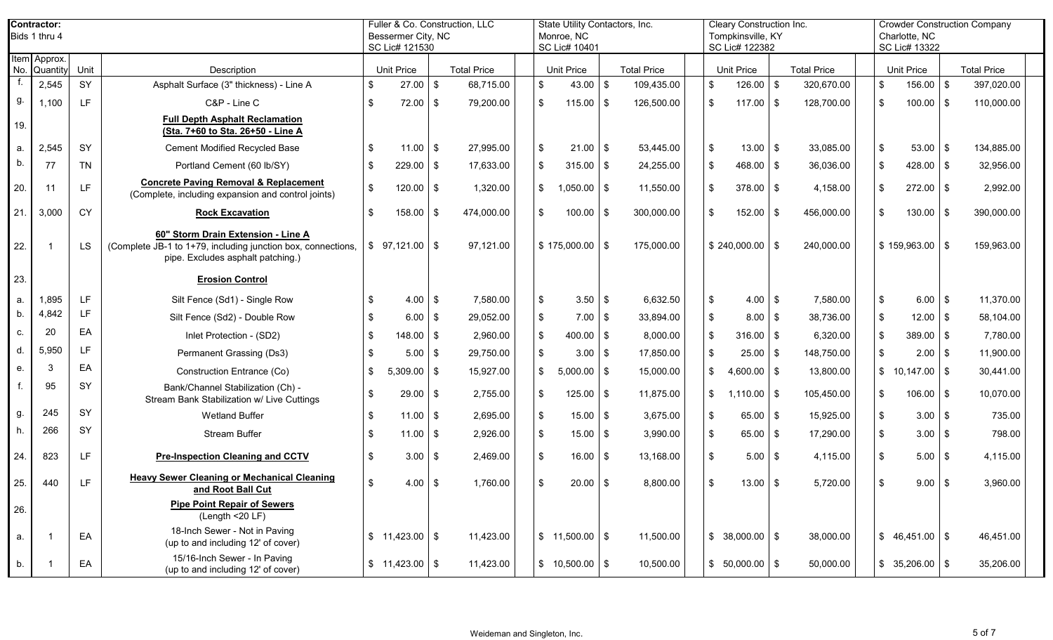|     | Contractor:<br>Bids 1 thru 4 |           |                                                                                                                                         |      |                    | Fuller & Co. Construction, LLC<br>Bessermer City, NC<br>SC Lic# 121530 |                    |                | State Utility Contactors, Inc.<br>Monroe, NC<br>SC Lic# 10401 |            |                    |     | Cleary Construction Inc.<br>Tompkinsville, KY<br>SC Lic# 122382 |                    |                | Charlotte, NC<br>SC Lic# 13322 |      | <b>Crowder Construction Company</b> |  |
|-----|------------------------------|-----------|-----------------------------------------------------------------------------------------------------------------------------------------|------|--------------------|------------------------------------------------------------------------|--------------------|----------------|---------------------------------------------------------------|------------|--------------------|-----|-----------------------------------------------------------------|--------------------|----------------|--------------------------------|------|-------------------------------------|--|
|     | Item Approx.<br>No. Quantity | Unit      | Description                                                                                                                             |      | <b>Unit Price</b>  |                                                                        | <b>Total Price</b> |                | <b>Unit Price</b>                                             |            | <b>Total Price</b> |     | <b>Unit Price</b>                                               | <b>Total Price</b> |                | <b>Unit Price</b>              |      | <b>Total Price</b>                  |  |
|     | 2,545                        | SY        | Asphalt Surface (3" thickness) - Line A                                                                                                 | \$   | 27.00              | $\sqrt[6]{2}$                                                          | 68,715.00          | \$             | $43.00$ \$                                                    |            | 109,435.00         | \$  | $126.00$ \$                                                     | 320,670.00         | \$             | 156.00                         | \$   | 397,020.00                          |  |
| g.  | 1,100                        | TE.       | C&P - Line C                                                                                                                            | -\$  | 72.00              | \$                                                                     | 79,200.00          | \$             | $115.00$ \ \$                                                 |            | 126,500.00         | \$  | $117.00$ \ \$                                                   | 128,700.00         | \$             | 100.00                         | -\$  | 110,000.00                          |  |
| 19. |                              |           | <b>Full Depth Asphalt Reclamation</b><br>(Sta. 7+60 to Sta. 26+50 - Line A                                                              |      |                    |                                                                        |                    |                |                                                               |            |                    |     |                                                                 |                    |                |                                |      |                                     |  |
| a.  | 2,545                        | SY        | <b>Cement Modified Recycled Base</b>                                                                                                    | -\$  | 11.00              | \$                                                                     | 27,995.00          | \$             | $21.00$ \$                                                    |            | 53,445.00          | \$  | $13.00$   \$                                                    | 33,085.00          | $\sqrt[6]{2}$  | 53.00                          | - \$ | 134,885.00                          |  |
| b.  | 77                           | <b>TN</b> | Portland Cement (60 lb/SY)                                                                                                              | -\$  | 229.00             | \$                                                                     | 17,633.00          | \$             | $315.00$ \$                                                   |            | 24,255.00          | \$  | $468.00$ \ \$                                                   | 36,036.00          | \$             | 428.00                         | - \$ | 32,956.00                           |  |
| 20. | 11                           | LF.       | <b>Concrete Paving Removal &amp; Replacement</b><br>(Complete, including expansion and control joints)                                  | -\$  | 120.00             | \$                                                                     | 1,320.00           | \$             | $1,050.00$ \$                                                 |            | 11,550.00          | \$  | $378.00$ \ \$                                                   | 4,158.00           | \$             | $272.00$ \$                    |      | 2,992.00                            |  |
| 21. | 3,000                        | <b>CY</b> | <b>Rock Excavation</b>                                                                                                                  | \$   | 158.00             | \$                                                                     | 474,000.00         | \$             | $100.00$ \$                                                   |            | 300,000.00         | \$  | $152.00$ \\$                                                    | 456,000.00         | \$             | 130.00                         | - \$ | 390,000.00                          |  |
| 22. |                              | <b>LS</b> | 60" Storm Drain Extension - Line A<br>(Complete JB-1 to 1+79, including junction box, connections,<br>pipe. Excludes asphalt patching.) | \$   | 97,121.00          | \$                                                                     | 97,121.00          |                | $$175,000.00$ \ \$                                            |            | 175,000.00         |     | $$240,000.00$ \ \$                                              | 240,000.00         |                | \$159,963.00                   | \$   | 159,963.00                          |  |
| 23. |                              |           | <b>Erosion Control</b>                                                                                                                  |      |                    |                                                                        |                    |                |                                                               |            |                    |     |                                                                 |                    |                |                                |      |                                     |  |
| a.  | 1,895                        | LF.       | Silt Fence (Sd1) - Single Row                                                                                                           | - \$ | 4.00               | \$                                                                     | 7,580.00           | \$             | 3.50                                                          | l \$       | 6,632.50           | \$  |                                                                 | 7,580.00           | $\mathfrak{F}$ | 6.00                           | \$   | 11,370.00                           |  |
| b.  | 4,842                        | LF.       | Silt Fence (Sd2) - Double Row                                                                                                           |      | 6.00               | \$                                                                     | 29,052.00          | \$             | $7.00$ \$                                                     |            | 33,894.00          | \$  | $8.00$ \ \ \$                                                   | 38,736.00          | \$             | 12.00                          | \$   | 58,104.00                           |  |
| c.  | 20                           | EA        | Inlet Protection - (SD2)                                                                                                                | - \$ | 148.00             | \$                                                                     | 2,960.00           | \$             | $400.00$ \$                                                   |            | 8,000.00           | \$  | $316.00$ \ \$                                                   | 6,320.00           | \$             | $389.00$ \$                    |      | 7,780.00                            |  |
| d.  | 5,950                        | LF.       | Permanent Grassing (Ds3)                                                                                                                |      | 5.00               | \$                                                                     | 29,750.00          | \$             | 3.00                                                          | $\sqrt{3}$ | 17,850.00          | \$  | $25.00$   \$                                                    | 148,750.00         | \$             | 2.00                           | - \$ | 11,900.00                           |  |
| е.  | 3                            | EA        | Construction Entrance (Co)                                                                                                              | \$   | 5,309.00           | \$                                                                     | 15,927.00          | \$             | 5,000.00                                                      | $\sqrt{3}$ | 15,000.00          | \$  | $4,600.00$ \$                                                   | 13,800.00          |                | $$10,147.00$ \ \ \$            |      | 30,441.00                           |  |
|     | 95                           | SY        | Bank/Channel Stabilization (Ch) -<br>Stream Bank Stabilization w/ Live Cuttings                                                         | \$   | 29.00              | \$                                                                     | 2,755.00           | \$             | 125.00                                                        | l \$       | 11,875.00          | \$  | $1,110.00$   \$                                                 | 105,450.00         | \$             | 106.00                         | \$   | 10,070.00                           |  |
| g.  | 245                          | SY        | <b>Wetland Buffer</b>                                                                                                                   | \$   | 11.00              | \$                                                                     | 2,695.00           | \$             | 15.00                                                         | <b>IS</b>  | 3,675.00           | \$  | $65.00$ \$                                                      | 15,925.00          | \$             | 3.00                           | \$   | 735.00                              |  |
| h.  | 266                          | SY        | <b>Stream Buffer</b>                                                                                                                    | -\$  | 11.00              | \$                                                                     | 2,926.00           | $\sqrt[6]{2}$  | 15.00                                                         | l \$       | 3,990.00           | \$  | $65.00$ \$                                                      | 17,290.00          | \$             | 3.00                           | -\$  | 798.00                              |  |
| 24. | 823                          | LF.       | <b>Pre-Inspection Cleaning and CCTV</b>                                                                                                 | -\$  | 3.00               | \$                                                                     | 2,469.00           | $\mathfrak{S}$ | 16.00                                                         | l \$       | 13,168.00          |     | $5.00$ \ \ \$                                                   | 4,115.00           | $\mathfrak{F}$ | 5.00                           | \$   | 4,115.00                            |  |
| 25. | 440                          | T E I     | <b>Heavy Sewer Cleaning or Mechanical Cleaning</b><br>and Root Ball Cut                                                                 | . ድ  | $4.00 \, \text{S}$ |                                                                        | 1.760.00           | $\mathcal{L}$  |                                                               |            | 8,800.00           | \$. |                                                                 | 5.720.00           | \$             | $9.00$ \ \ \$                  |      | 3,960.00                            |  |
| 26. |                              |           | <b>Pipe Point Repair of Sewers</b><br>(Length <20 LF)                                                                                   |      |                    |                                                                        |                    |                |                                                               |            |                    |     |                                                                 |                    |                |                                |      |                                     |  |
| a.  |                              | EA        | 18-Inch Sewer - Not in Paving<br>(up to and including 12' of cover)                                                                     |      | $$11,423.00$ \ \$  |                                                                        | 11,423.00          |                | $$11,500.00$ \ \$                                             |            | 11,500.00          |     | $$38,000.00$ \ \$                                               | 38,000.00          |                | $$46,451.00$ \\$               |      | 46,451.00                           |  |
| b.  |                              | EA        | 15/16-Inch Sewer - In Paving<br>(up to and including 12' of cover)                                                                      |      | $$11,423.00$ \\$   |                                                                        | 11,423.00          |                | $$10,500.00$ \ \$                                             |            | 10,500.00          |     | $$50,000.00$ \$                                                 | 50,000.00          |                | $$35,206.00$ \ \$              |      | 35,206.00                           |  |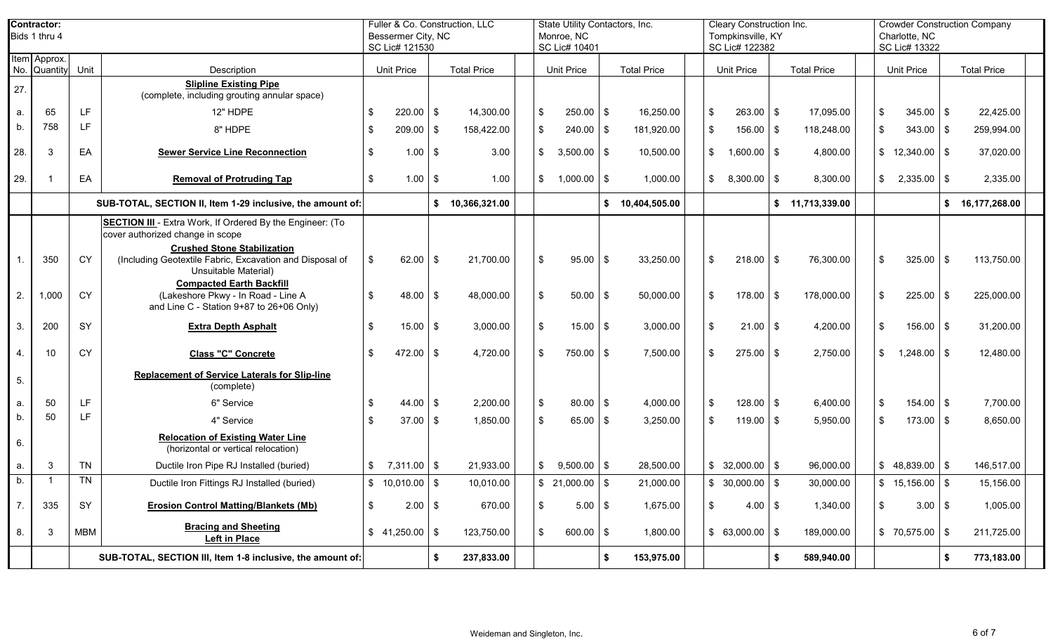|                | Contractor:<br>Bids 1 thru 4                               |           |                                                                                                                        | Fuller & Co. Construction, LLC<br>State Utility Contactors, Inc.<br>Bessermer City, NC<br>Monroe, NC<br>SC Lic# 121530<br>SC Lic# 10401<br><b>Unit Price</b><br><b>Total Price</b><br><b>Unit Price</b><br><b>Total Price</b><br>$\sqrt[6]{\frac{1}{2}}$<br>$220.00$ \$<br>14,300.00<br>250.00<br>16,250.00<br>\$<br>$209.00$ \$<br>\$<br>240.00<br>158,422.00<br>-\$<br>1.00<br>\$<br>3,500.00<br>l \$<br>3.00<br>\$<br>10,500.00<br>$1.00$ \$<br>1.00<br>\$<br>1,000.00<br>\$<br>\$ 10,366,321.00<br>\$10,404,505.00<br>$\sqrt[6]{\frac{1}{2}}$<br>62.00<br>95.00<br>21,700.00<br>\$<br>l \$<br>\$<br>$48.00$ \$<br>48,000.00<br>50.00<br>\$<br>50,000.00<br>$\boldsymbol{\mathsf{S}}$<br>$15.00$ \ \$<br>3,000.00<br>15.00<br>3,000.00<br>-\$<br>$\frac{1}{2}$<br>472.00<br>4,720.00<br>750.00<br>7,500.00<br>l \$<br>-\$<br>$\sqrt[6]{\frac{1}{2}}$<br>$44.00$ \$<br>2,200.00<br>80.00<br>\$<br>4,000.00<br>$\sqrt[6]{\frac{1}{2}}$<br>$37.00$ \ \$<br>1,850.00<br>65.00<br>3,250.00<br>-\$ |    |            |                         | Cleary Construction Inc.<br>Tompkinsville, KY<br>SC Lic# 122382 |                | <b>Crowder Construction Company</b><br>Charlotte, NC<br>SC Lic# 13322 |                |                   |                     |                                        |     |                    |  |
|----------------|------------------------------------------------------------|-----------|------------------------------------------------------------------------------------------------------------------------|-------------------------------------------------------------------------------------------------------------------------------------------------------------------------------------------------------------------------------------------------------------------------------------------------------------------------------------------------------------------------------------------------------------------------------------------------------------------------------------------------------------------------------------------------------------------------------------------------------------------------------------------------------------------------------------------------------------------------------------------------------------------------------------------------------------------------------------------------------------------------------------------------------------------------------------------------------------------------------------------------|----|------------|-------------------------|-----------------------------------------------------------------|----------------|-----------------------------------------------------------------------|----------------|-------------------|---------------------|----------------------------------------|-----|--------------------|--|
|                | Item Approx.<br>No. Quantity Unit                          |           | Description                                                                                                            |                                                                                                                                                                                                                                                                                                                                                                                                                                                                                                                                                                                                                                                                                                                                                                                                                                                                                                                                                                                                 |    |            |                         |                                                                 |                |                                                                       |                | <b>Unit Price</b> | <b>Total Price</b>  | <b>Unit Price</b>                      |     | <b>Total Price</b> |  |
| 27.            |                                                            |           | <b>Slipline Existing Pipe</b><br>(complete, including grouting annular space)                                          |                                                                                                                                                                                                                                                                                                                                                                                                                                                                                                                                                                                                                                                                                                                                                                                                                                                                                                                                                                                                 |    |            |                         |                                                                 |                |                                                                       |                |                   |                     |                                        |     |                    |  |
| a.             | 65                                                         | LF.       | 12" HDPE                                                                                                               | \$                                                                                                                                                                                                                                                                                                                                                                                                                                                                                                                                                                                                                                                                                                                                                                                                                                                                                                                                                                                              |    |            |                         |                                                                 |                |                                                                       | \$             | $263.00$ \ \$     | 17,095.00           | \$<br>345.00                           |     | 22,425.00          |  |
| b.             | 758                                                        | LF.       | 8" HDPE                                                                                                                | \$                                                                                                                                                                                                                                                                                                                                                                                                                                                                                                                                                                                                                                                                                                                                                                                                                                                                                                                                                                                              |    |            |                         |                                                                 |                | 181,920.00                                                            | \$             | $156.00$ \$       | 118,248.00          | 343.00<br>\$                           |     | 259,994.00         |  |
| 28.            | 3                                                          | EA        | <b>Sewer Service Line Reconnection</b>                                                                                 | \$                                                                                                                                                                                                                                                                                                                                                                                                                                                                                                                                                                                                                                                                                                                                                                                                                                                                                                                                                                                              |    |            |                         |                                                                 |                |                                                                       | $\mathfrak{S}$ | $1,600.00$ \ \$   | 4,800.00            | $$12,340.00$ \\$                       |     | 37,020.00          |  |
| 29.            |                                                            | EA        | <b>Removal of Protruding Tap</b>                                                                                       | \$                                                                                                                                                                                                                                                                                                                                                                                                                                                                                                                                                                                                                                                                                                                                                                                                                                                                                                                                                                                              |    |            |                         |                                                                 |                | 1,000.00                                                              | \$             | $8,300.00$ \$     | 8,300.00            | $\mathbb{S}$<br>$2,335.00$ \$          |     | 2,335.00           |  |
|                |                                                            |           | SUB-TOTAL, SECTION II, Item 1-29 inclusive, the amount of:                                                             |                                                                                                                                                                                                                                                                                                                                                                                                                                                                                                                                                                                                                                                                                                                                                                                                                                                                                                                                                                                                 |    |            |                         |                                                                 |                |                                                                       |                |                   | \$<br>11,713,339.00 |                                        | \$  | 16,177,268.00      |  |
|                |                                                            |           | SECTION III - Extra Work, If Ordered By the Engineer: (To<br>cover authorized change in scope                          |                                                                                                                                                                                                                                                                                                                                                                                                                                                                                                                                                                                                                                                                                                                                                                                                                                                                                                                                                                                                 |    |            |                         |                                                                 |                |                                                                       |                |                   |                     |                                        |     |                    |  |
| $\mathbf{1}$ . | 350                                                        | <b>CY</b> | <b>Crushed Stone Stabilization</b><br>(Including Geotextile Fabric, Excavation and Disposal of<br>Unsuitable Material) | \$                                                                                                                                                                                                                                                                                                                                                                                                                                                                                                                                                                                                                                                                                                                                                                                                                                                                                                                                                                                              |    |            |                         |                                                                 |                | 33,250.00                                                             | $\mathfrak{S}$ | $218.00$ \$       | 76,300.00           | 325.00<br>\$                           | l S | 113,750.00         |  |
| 2.             | 1,000                                                      | <b>CY</b> | <b>Compacted Earth Backfill</b><br>(Lakeshore Pkwy - In Road - Line A<br>and Line C - Station 9+87 to 26+06 Only)      | \$                                                                                                                                                                                                                                                                                                                                                                                                                                                                                                                                                                                                                                                                                                                                                                                                                                                                                                                                                                                              |    |            |                         |                                                                 |                |                                                                       | \$             | $178.00$ \\$      | 178,000.00          | \$<br>225.00                           | IS. | 225,000.00         |  |
| 3.             | 200                                                        | SY        | <b>Extra Depth Asphalt</b>                                                                                             | \$                                                                                                                                                                                                                                                                                                                                                                                                                                                                                                                                                                                                                                                                                                                                                                                                                                                                                                                                                                                              |    |            |                         |                                                                 |                |                                                                       | \$             | $21.00$   \$      | 4,200.00            | \$<br>$156.00$ \$                      |     | 31,200.00          |  |
| 4.             | 10                                                         | <b>CY</b> | <b>Class "C" Concrete</b>                                                                                              | \$                                                                                                                                                                                                                                                                                                                                                                                                                                                                                                                                                                                                                                                                                                                                                                                                                                                                                                                                                                                              |    |            |                         |                                                                 |                |                                                                       | \$             | $275.00$ \ \$     | 2,750.00            | $\frac{1}{2}$<br>1,248.00              |     | 12,480.00          |  |
| 5.             |                                                            |           | <b>Replacement of Service Laterals for Slip-line</b><br>(complete)                                                     |                                                                                                                                                                                                                                                                                                                                                                                                                                                                                                                                                                                                                                                                                                                                                                                                                                                                                                                                                                                                 |    |            |                         |                                                                 |                |                                                                       |                |                   |                     |                                        |     |                    |  |
| a.             | 50                                                         | LF        | 6" Service                                                                                                             | \$                                                                                                                                                                                                                                                                                                                                                                                                                                                                                                                                                                                                                                                                                                                                                                                                                                                                                                                                                                                              |    |            |                         |                                                                 |                |                                                                       | \$             | $128.00$ \$       | 6,400.00            | \$<br>$154.00$ \$                      |     | 7,700.00           |  |
| b.             | 50                                                         | LF.       | 4" Service                                                                                                             | \$                                                                                                                                                                                                                                                                                                                                                                                                                                                                                                                                                                                                                                                                                                                                                                                                                                                                                                                                                                                              |    |            |                         |                                                                 |                |                                                                       | \$             | $119.00$ \$       | 5,950.00            | \$<br>$173.00$ \$                      |     | 8,650.00           |  |
| 6.             |                                                            |           | <b>Relocation of Existing Water Line</b><br>(horizontal or vertical relocation)                                        |                                                                                                                                                                                                                                                                                                                                                                                                                                                                                                                                                                                                                                                                                                                                                                                                                                                                                                                                                                                                 |    |            |                         |                                                                 |                |                                                                       |                |                   |                     |                                        |     |                    |  |
| а.             | 3                                                          | <b>TN</b> | Ductile Iron Pipe RJ Installed (buried)                                                                                | \$<br>$7,311.00$ \$                                                                                                                                                                                                                                                                                                                                                                                                                                                                                                                                                                                                                                                                                                                                                                                                                                                                                                                                                                             |    | 21,933.00  | $\mathsf{\$}$           | $9,500.00$ \$                                                   |                | 28,500.00                                                             |                | $$32,000.00$ \ \$ | 96,000.00           | $$48,839.00$ \\$                       |     | 146,517.00         |  |
| b.             |                                                            | TN        | Ductile Iron Fittings RJ Installed (buried)                                                                            | $$10,010.00$ \\$                                                                                                                                                                                                                                                                                                                                                                                                                                                                                                                                                                                                                                                                                                                                                                                                                                                                                                                                                                                |    | 10,010.00  |                         | \$21,000.00                                                     | $\mathfrak{L}$ | 21,000.00                                                             |                | $$30,000.00$ \\$  | 30,000.00           | $$15,156.00$ \\$                       |     | 15,156.00          |  |
| 7.             | 335                                                        | SY        | <b>Erosion Control Matting/Blankets (Mb)</b>                                                                           | \$<br>$2.00$ \$                                                                                                                                                                                                                                                                                                                                                                                                                                                                                                                                                                                                                                                                                                                                                                                                                                                                                                                                                                                 |    | 670.00     | $\sqrt[6]{\frac{1}{2}}$ | $5.00$ \$                                                       |                | 1,675.00                                                              | \$             | $4.00$ \$         | 1,340.00            | $\boldsymbol{\mathsf{S}}$<br>$3.00$ \$ |     | 1,005.00           |  |
| 8.             | 3                                                          | MBM       | <b>Bracing and Sheeting</b><br><b>Left in Place</b>                                                                    | $$41,250.00$ \ \ \$                                                                                                                                                                                                                                                                                                                                                                                                                                                                                                                                                                                                                                                                                                                                                                                                                                                                                                                                                                             |    | 123,750.00 | $\sqrt[6]{\frac{1}{2}}$ | 600.00 \$                                                       |                | 1,800.00                                                              |                | $$63,000.00$ \\$  | 189,000.00          | $$70,575.00$ \\$                       |     | 211,725.00         |  |
|                | SUB-TOTAL, SECTION III, Item 1-8 inclusive, the amount of: |           |                                                                                                                        |                                                                                                                                                                                                                                                                                                                                                                                                                                                                                                                                                                                                                                                                                                                                                                                                                                                                                                                                                                                                 | \$ | 237,833.00 |                         |                                                                 | \$             | 153,975.00                                                            |                |                   | \$<br>589,940.00    |                                        |     | 773,183.00         |  |